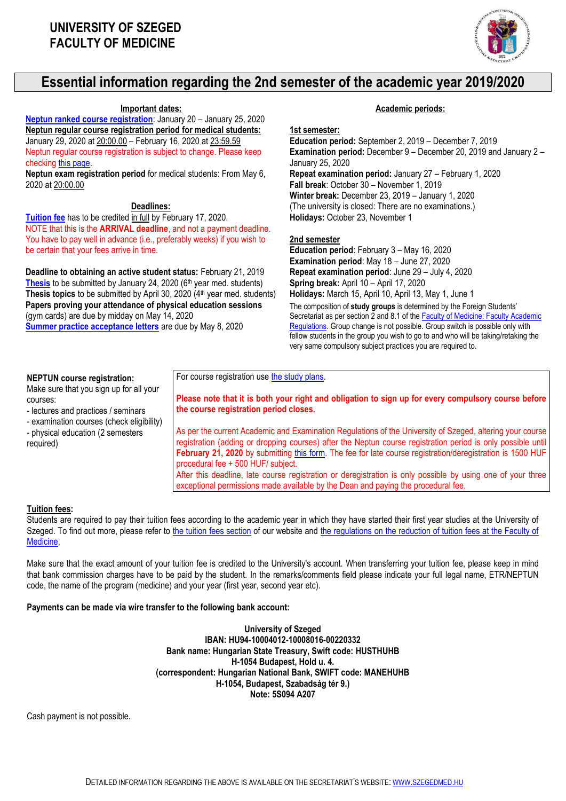

# **Essential information regarding the 2nd semester of the academic year 2019/2020**

**Neptun [ranked course registration](http://www.med.u-szeged.hu/fs/neptun/ranked-course)**: January 20 – January 25, 2020 **Neptun regular course registration period for medical students:** January 29, 2020 at 20:00.00 – February 16, 2020 at 23:59.59 Neptun regular course registration is subject to change. Please keep checkin[g this page.](http://web5.etr.u-szeged.hu:8080/naptar/Megnyitasrend/index.jsp?felev=2019-2020-2&kurzfel=I&lang=english)

**Neptun exam registration period** for medical students: From May 6, 2020 at 20:00.00

# **Deadlines:**

**[Tuition fee](http://www.med.u-szeged.hu/fs/tuition-fee)** has to be credited in full by February 17, 2020. NOTE that this is the **ARRIVAL deadline**, and not a payment deadline. You have to pay well in advance (i.e., preferably weeks) if you wish to be certain that your fees arrive in time.

**Deadline to obtaining an active student status:** February 21, 2019 [Thesis](http://www.med.u-szeged.hu/fs/thesis/thesis) to be submitted by January 24, 2020 (6<sup>th</sup> year med. students) **Thesis topics** to be submitted by April 30, 2020 (4<sup>th</sup> year med. students) **Papers proving your attendance of physical education sessions** (gym cards) are due by midday on May 14, 2020 **[Summer practice acceptance letters](http://www.med.u-szeged.hu/kulfoldi-hallgatok/summer-practices/summer-practices-faculty-150518)** are due by May 8, 2020

#### **Important dates: Academic periods:**

#### **1st semester:**

**Education period:** September 2, 2019 – December 7, 2019 **Examination period:** December 9 – December 20, 2019 and January 2 – January 25, 2020 **Repeat examination period:** January 27 – February 1, 2020 **Fall break**: October 30 – November 1, 2019 **Winter break:** December 23, 2019 – January 1, 2020 (The university is closed: There are no examinations.) **Holidays:** October 23, November 1

#### **2nd semester**

**Education period**: February 3 – May 16, 2020 **Examination period**: May 18 – June 27, 2020 **Repeat examination period**: June 29 – July 4, 2020 **Spring break:** April 10 – April 17, 2020

**Holidays:** March 15, April 10, April 13, May 1, June 1 The composition of **study groups** is determined by the Foreign Students'

Secretariat as per section 2 and 8.1 of the Faculty of Medicine: Faculty Academic [Regulations.](http://www.med.u-szeged.hu/kulfoldi-hallgatok/regulations/aok-ku-hatalyos-2015-04) Group change is not possible. Group switch is possible only with fellow students in the group you wish to go to and who will be taking/retaking the very same compulsory subject practices you are required to.

#### **NEPTUN course registration:**

Make sure that you sign up for all your courses:

- lectures and practices / seminars

- examination courses (check eligibility) - physical education (2 semesters required)

**Please note that it is both your right and obligation to sign up for every compulsory course before the course registration period closes.**

As per the current Academic and Examination Regulations of the University of Szeged, altering your course registration (adding or dropping courses) after the Neptun course registration period is only possible until **February 21, 2020** by submitting [this form.](http://www.med.u-szeged.hu/fs/downloads-181025/late-course-de-200109) The fee for late course registration/deregistration is 1500 HUF procedural fee + 500 HUF/ subject.

After this deadline, late course registration or deregistration is only possible by using one of your three exceptional permissions made available by the Dean and paying the procedural fee.

# **Tuition fees:**

Students are required to pay their tuition fees according to the academic year in which they have started their first year studies at the University of Szeged. To find out more, please refer to [the tuition fees section](http://www.med.u-szeged.hu/fs/tuition-fee) of our website and the regulations on the reduction of tuition fees at the Faculty of [Medicine.](http://www.med.u-szeged.hu/kulfoldi-hallgatok/regulations/faculty-of-medicine)

For course registration us[e the study plans.](http://www.med.u-szeged.hu/fs/education/suggested-study-plans)

Make sure that the exact amount of your tuition fee is credited to the University's account. When transferring your tuition fee, please keep in mind that bank commission charges have to be paid by the student. In the remarks/comments field please indicate your full legal name, ETR/NEPTUN code, the name of the program (medicine) and your year (first year, second year etc).

# **Payments can be made via wire transfer to the following bank account:**

**University of Szeged IBAN: HU94-10004012-10008016-00220332 Bank name: Hungarian State Treasury, Swift code: HUSTHUHB H-1054 Budapest, Hold u. 4. (correspondent: Hungarian National Bank, SWIFT code: MANEHUHB H-1054, Budapest, Szabadság tér 9.) Note: 5S094 A207**

Cash payment is not possible.